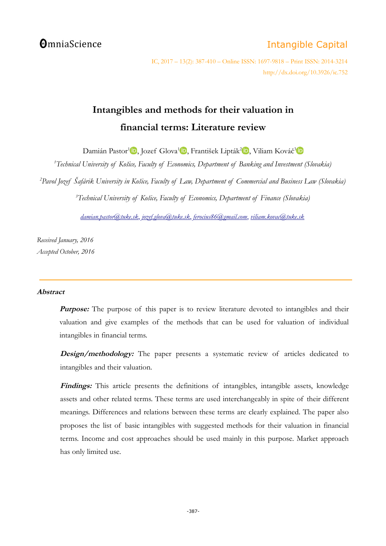# **OmniaScience**

# [Intangible Capital](http://www.intangiblecapital.org/)

IC, 2017 – 13(2): 387-410 – Online ISSN: 1697-9818 – Print ISSN: 2014-3214 http://dx.doi.org/10.3926/ic.752

# **Intangibles and methods for their valuation in financial terms: Literature review**

Damián Pastor<sup>[1](http://orcid.org/0000-0001-5972-7771)</sup>D[,](http://orcid.org/0000-0001-5769-3248) Jozef Glova<sup>1</sup>D, František Lipták<sup>2</sup>D, Viliam Kováč<sup>[3](http://orcid.org/0000-0002-5265-9005)</sup>

*<sup>1</sup>Technical University of Košice, Faculty of Economics, Department of Banking and Investment (Slovakia)*

*<sup>2</sup>Pavol Jozef Šafárik University in Košice, Faculty of Law, Department of Commercial and Business Law (Slovakia) <sup>3</sup>Technical University of Košice, Faculty of Economics, Department of Finance (Slovakia)*

*[damian.pastor@tuke.sk](mailto:damian.pastor@tuke.sk)*, *[jozef.glova@tuke.sk](mailto:jozef.glova@tuke.sk)*, *[ferocius86@gmail.com](mailto:ferocius86@gmail.com)*, *[viliam.kovac@tuke.sk](mailto:viliam.kovac@tuke.sk%20)*

*Received January, 2016 Accepted October, 2016*

## **Abstract**

**Purpose:** The purpose of this paper is to review literature devoted to intangibles and their valuation and give examples of the methods that can be used for valuation of individual intangibles in financial terms.

**Design/methodology:** The paper presents a systematic review of articles dedicated to intangibles and their valuation.

Findings: This article presents the definitions of intangibles, intangible assets, knowledge assets and other related terms. These terms are used interchangeably in spite of their different meanings. Differences and relations between these terms are clearly explained. The paper also proposes the list of basic intangibles with suggested methods for their valuation in financial terms. Income and cost approaches should be used mainly in this purpose. Market approach has only limited use.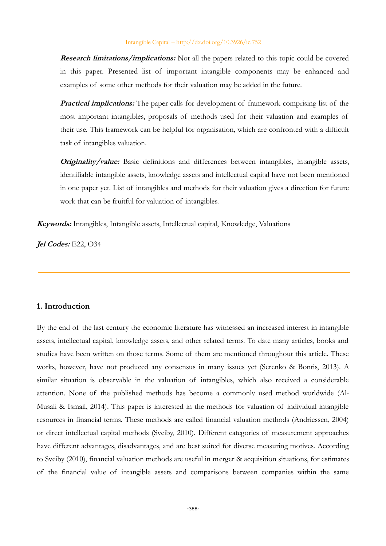**Research limitations/implications:** Not all the papers related to this topic could be covered in this paper. Presented list of important intangible components may be enhanced and examples of some other methods for their valuation may be added in the future.

**Practical implications:** The paper calls for development of framework comprising list of the most important intangibles, proposals of methods used for their valuation and examples of their use. This framework can be helpful for organisation, which are confronted with a difficult task of intangibles valuation.

**Originality/value:** Basic definitions and differences between intangibles, intangible assets, identifiable intangible assets, knowledge assets and intellectual capital have not been mentioned in one paper yet. List of intangibles and methods for their valuation gives a direction for future work that can be fruitful for valuation of intangibles.

**Keywords:** Intangibles, Intangible assets, Intellectual capital, Knowledge, Valuations

**Jel Codes:** E22, O34

#### **1. Introduction**

By the end of the last century the economic literature has witnessed an increased interest in intangible assets, intellectual capital, knowledge assets, and other related terms. To date many articles, books and studies have been written on those terms. Some of them are mentioned throughout this article. These works, however, have not produced any consensus in many issues yet (Serenko & Bontis, 2013). A similar situation is observable in the valuation of intangibles, which also received a considerable attention. None of the published methods has become a commonly used method worldwide (Al-Musali & Ismail, 2014). This paper is interested in the methods for valuation of individual intangible resources in financial terms. These methods are called financial valuation methods (Andriessen, 2004) or direct intellectual capital methods (Sveiby, 2010). Different categories of measurement approaches have different advantages, disadvantages, and are best suited for diverse measuring motives. According to Sveiby (2010), financial valuation methods are useful in merger & acquisition situations, for estimates of the financial value of intangible assets and comparisons between companies within the same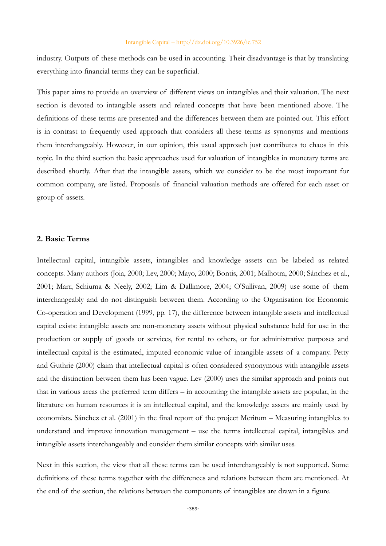industry. Outputs of these methods can be used in accounting. Their disadvantage is that by translating everything into financial terms they can be superficial.

This paper aims to provide an overview of different views on intangibles and their valuation. The next section is devoted to intangible assets and related concepts that have been mentioned above. The definitions of these terms are presented and the differences between them are pointed out. This effort is in contrast to frequently used approach that considers all these terms as synonyms and mentions them interchangeably. However, in our opinion, this usual approach just contributes to chaos in this topic. In the third section the basic approaches used for valuation of intangibles in monetary terms are described shortly. After that the intangible assets, which we consider to be the most important for common company, are listed. Proposals of financial valuation methods are offered for each asset or group of assets.

# **2. Basic Terms**

Intellectual capital, intangible assets, intangibles and knowledge assets can be labeled as related concepts. Many authors (Joia, 2000; Lev, 2000; Mayo, 2000; Bontis, 2001; Malhotra, 2000; Sánchez et al., 2001; Marr, Schiuma & Neely, 2002; Lim & Dallimore, 2004; O'Sullivan, 2009) use some of them interchangeably and do not distinguish between them. According to the Organisation for Economic Co-operation and Development (1999, pp. 17), the difference between intangible assets and intellectual capital exists: intangible assets are non-monetary assets without physical substance held for use in the production or supply of goods or services, for rental to others, or for administrative purposes and intellectual capital is the estimated, imputed economic value of intangible assets of a company. Petty and Guthrie (2000) claim that intellectual capital is often considered synonymous with intangible assets and the distinction between them has been vague. Lev (2000) uses the similar approach and points out that in various areas the preferred term differs – in accounting the intangible assets are popular, in the literature on human resources it is an intellectual capital, and the knowledge assets are mainly used by economists. Sánchez et al. (2001) in the final report of the project Meritum – Measuring intangibles to understand and improve innovation management – use the terms intellectual capital, intangibles and intangible assets interchangeably and consider them similar concepts with similar uses.

Next in this section, the view that all these terms can be used interchangeably is not supported. Some definitions of these terms together with the differences and relations between them are mentioned. At the end of the section, the relations between the components of intangibles are drawn in a figure.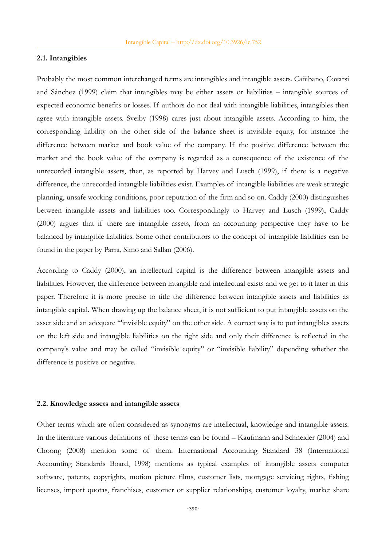#### **2.1. Intangibles**

Probably the most common interchanged terms are intangibles and intangible assets. Cañibano, Covarsí and Sánchez (1999) claim that intangibles may be either assets or liabilities – intangible sources of expected economic benefits or losses. If authors do not deal with intangible liabilities, intangibles then agree with intangible assets. Sveiby (1998) cares just about intangible assets. According to him, the corresponding liability on the other side of the balance sheet is invisible equity, for instance the difference between market and book value of the company. If the positive difference between the market and the book value of the company is regarded as a consequence of the existence of the unrecorded intangible assets, then, as reported by Harvey and Lusch (1999), if there is a negative difference, the unrecorded intangible liabilities exist. Examples of intangible liabilities are weak strategic planning, unsafe working conditions, poor reputation of the firm and so on. Caddy (2000) distinguishes between intangible assets and liabilities too. Correspondingly to Harvey and Lusch (1999), Caddy (2000) argues that if there are intangible assets, from an accounting perspective they have to be balanced by intangible liabilities. Some other contributors to the concept of intangible liabilities can be found in the paper by Parra, Simo and Sallan (2006).

According to Caddy (2000), an intellectual capital is the difference between intangible assets and liabilities. However, the difference between intangible and intellectual exists and we get to it later in this paper. Therefore it is more precise to title the difference between intangible assets and liabilities as intangible capital. When drawing up the balance sheet, it is not sufficient to put intangible assets on the asset side and an adequate "'invisible equity" on the other side. A correct way is to put intangibles assets on the left side and intangible liabilities on the right side and only their difference is reflected in the company's value and may be called "invisible equity" or "invisible liability" depending whether the difference is positive or negative.

#### **2.2. Knowledge assets and intangible assets**

Other terms which are often considered as synonyms are intellectual, knowledge and intangible assets. In the literature various definitions of these terms can be found – Kaufmann and Schneider (2004) and Choong (2008) mention some of them. International Accounting Standard 38 (International Accounting Standards Board, 1998) mentions as typical examples of intangible assets computer software, patents, copyrights, motion picture films, customer lists, mortgage servicing rights, fishing licenses, import quotas, franchises, customer or supplier relationships, customer loyalty, market share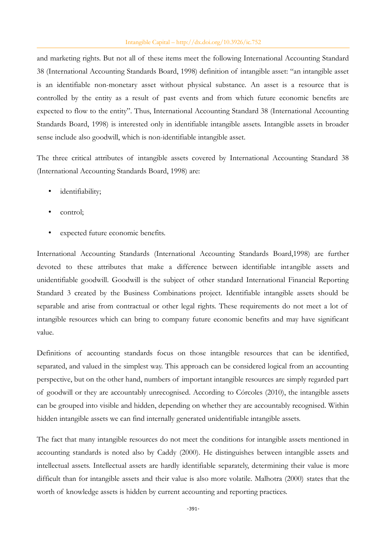and marketing rights. But not all of these items meet the following International Accounting Standard 38 (International Accounting Standards Board, 1998) definition of intangible asset: "an intangible asset is an identifiable non-monetary asset without physical substance. An asset is a resource that is controlled by the entity as a result of past events and from which future economic benefits are expected to flow to the entity". Thus, International Accounting Standard 38 (International Accounting Standards Board, 1998) is interested only in identifiable intangible assets. Intangible assets in broader sense include also goodwill, which is non-identifiable intangible asset.

The three critical attributes of intangible assets covered by International Accounting Standard 38 (International Accounting Standards Board, 1998) are:

- identifiability;
- control;
- expected future economic benefits.

International Accounting Standards (International Accounting Standards Board,1998) are further devoted to these attributes that make a difference between identifiable intangible assets and unidentifiable goodwill. Goodwill is the subject of other standard International Financial Reporting Standard 3 created by the Business Combinations project. Identifiable intangible assets should be separable and arise from contractual or other legal rights. These requirements do not meet a lot of intangible resources which can bring to company future economic benefits and may have significant value.

Definitions of accounting standards focus on those intangible resources that can be identified, separated, and valued in the simplest way. This approach can be considered logical from an accounting perspective, but on the other hand, numbers of important intangible resources are simply regarded part of goodwill or they are accountably unrecognised. According to Córcoles (2010), the intangible assets can be grouped into visible and hidden, depending on whether they are accountably recognised. Within hidden intangible assets we can find internally generated unidentifiable intangible assets.

The fact that many intangible resources do not meet the conditions for intangible assets mentioned in accounting standards is noted also by Caddy (2000). He distinguishes between intangible assets and intellectual assets. Intellectual assets are hardly identifiable separately, determining their value is more difficult than for intangible assets and their value is also more volatile. Malhotra (2000) states that the worth of knowledge assets is hidden by current accounting and reporting practices.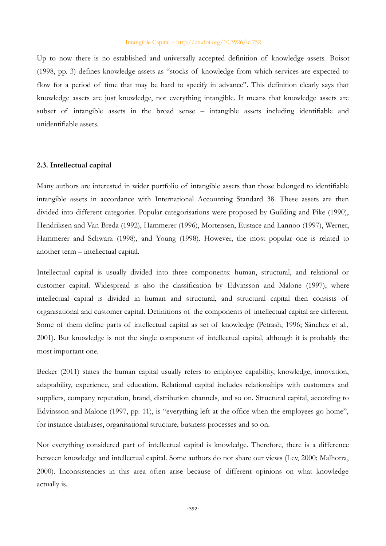Up to now there is no established and universally accepted definition of knowledge assets. Boisot (1998, pp. 3) defines knowledge assets as "stocks of knowledge from which services are expected to flow for a period of time that may be hard to specify in advance". This definition clearly says that knowledge assets are just knowledge, not everything intangible. It means that knowledge assets are subset of intangible assets in the broad sense – intangible assets including identifiable and unidentifiable assets.

#### **2.3. Intellectual capital**

Many authors are interested in wider portfolio of intangible assets than those belonged to identifiable intangible assets in accordance with International Accounting Standard 38. These assets are then divided into different categories. Popular categorisations were proposed by Guilding and Pike (1990), Hendriksen and Van Breda (1992), Hammerer (1996), Mortensen, Eustace and Lannoo (1997), Werner, Hammerer and Schwarz (1998), and Young (1998). However, the most popular one is related to another term – intellectual capital.

Intellectual capital is usually divided into three components: human, structural, and relational or customer capital. Widespread is also the classification by Edvinsson and Malone (1997), where intellectual capital is divided in human and structural, and structural capital then consists of organisational and customer capital. Definitions of the components of intellectual capital are different. Some of them define parts of intellectual capital as set of knowledge (Petrash, 1996; Sánchez et al., 2001). But knowledge is not the single component of intellectual capital, although it is probably the most important one.

Becker (2011) states the human capital usually refers to employee capability, knowledge, innovation, adaptability, experience, and education. Relational capital includes relationships with customers and suppliers, company reputation, brand, distribution channels, and so on. Structural capital, according to Edvinsson and Malone (1997, pp. 11), is "everything left at the office when the employees go home", for instance databases, organisational structure, business processes and so on.

Not everything considered part of intellectual capital is knowledge. Therefore, there is a difference between knowledge and intellectual capital. Some authors do not share our views (Lev, 2000; Malhotra, 2000). Inconsistencies in this area often arise because of different opinions on what knowledge actually is.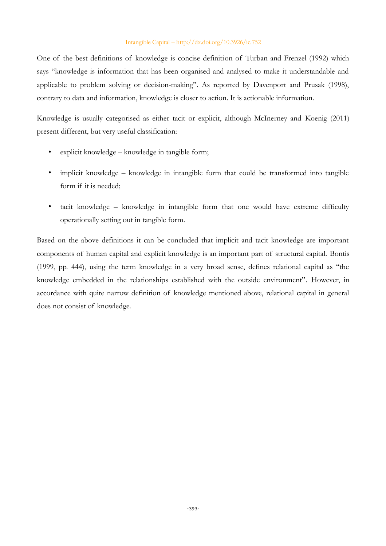One of the best definitions of knowledge is concise definition of Turban and Frenzel (1992) which says "knowledge is information that has been organised and analysed to make it understandable and applicable to problem solving or decision-making". As reported by Davenport and Prusak (1998), contrary to data and information, knowledge is closer to action. It is actionable information.

Knowledge is usually categorised as either tacit or explicit, although McInerney and Koenig (2011) present different, but very useful classification:

- explicit knowledge knowledge in tangible form;
- implicit knowledge knowledge in intangible form that could be transformed into tangible form if it is needed;
- tacit knowledge knowledge in intangible form that one would have extreme difficulty operationally setting out in tangible form.

Based on the above definitions it can be concluded that implicit and tacit knowledge are important components of human capital and explicit knowledge is an important part of structural capital. Bontis (1999, pp. 444), using the term knowledge in a very broad sense, defines relational capital as "the knowledge embedded in the relationships established with the outside environment". However, in accordance with quite narrow definition of knowledge mentioned above, relational capital in general does not consist of knowledge.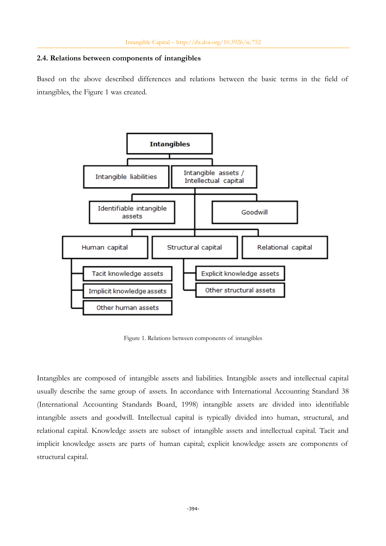#### **2.4. Relations between components of intangibles**

Based on the above described differences and relations between the basic terms in the field of intangibles, the Figure 1 was created.



Figure 1. Relations between components of intangibles

Intangibles are composed of intangible assets and liabilities. Intangible assets and intellectual capital usually describe the same group of assets. In accordance with International Accounting Standard 38 (International Accounting Standards Board, 1998) intangible assets are divided into identifiable intangible assets and goodwill. Intellectual capital is typically divided into human, structural, and relational capital. Knowledge assets are subset of intangible assets and intellectual capital. Tacit and implicit knowledge assets are parts of human capital; explicit knowledge assets are components of structural capital.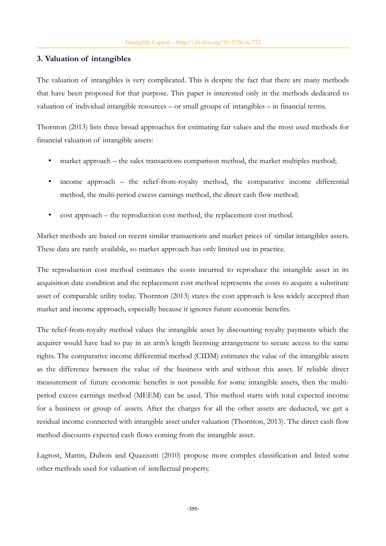#### **3. Valuation of intangibles**

The valuation of intangibles is very complicated. This is despite the fact that there are many methods that have been proposed for that purpose. This paper is interested only in the methods dedicated to valuation of individual intangible resources – or small groups of intangibles – in financial terms.

Thornton (2013) lists three broad approaches for estimating fair values and the most used methods for financial valuation of intangible assets:

- market approach the sales transactions comparison method, the market multiples method;
- income approach the relief-from-royalty method, the comparative income differential method, the multi-period excess earnings method, the direct cash flow method;
- cost approach the reproduction cost method, the replacement cost method.

Market methods are based on recent similar transactions and market prices of similar intangibles assets. These data are rarely available, so market approach has only limited use in practice.

The reproduction cost method estimates the costs incurred to reproduce the intangible asset in its acquisition date condition and the replacement cost method represents the costs to acquire a substitute asset of comparable utility today. Thornton (2013) states the cost approach is less widely accepted than market and income approach, especially because it ignores future economic benefits.

The relief-from-royalty method values the intangible asset by discounting royalty payments which the acquirer would have had to pay in an arm's length licensing arrangement to secure access to the same rights. The comparative income differential method (CIDM) estimates the value of the intangible assets as the difference between the value of the business with and without this asset. If reliable direct measurement of future economic benefits is not possible for some intangible assets, then the multiperiod excess earnings method (MEEM) can be used. This method starts with total expected income for a business or group of assets. After the charges for all the other assets are deducted, we get a residual income connected with intangible asset under valuation (Thornton, 2013). The direct cash flow method discounts expected cash flows coming from the intangible asset.

Lagrost, Martin, Dubois and Quazzotti (2010) propose more complex classification and listed some other methods used for valuation of intellectual property.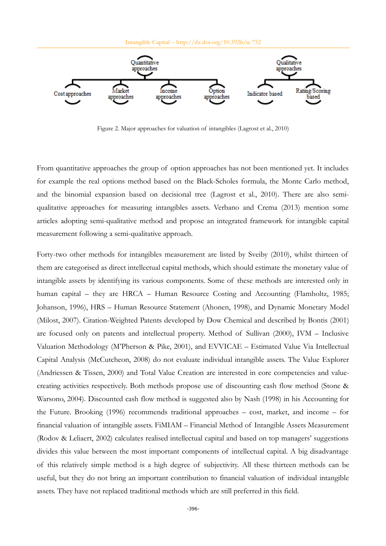



Figure 2. Major approaches for valuation of intangibles (Lagrost et al., 2010)

From quantitative approaches the group of option approaches has not been mentioned yet. It includes for example the real options method based on the Black-Scholes formula, the Monte Carlo method, and the binomial expansion based on decisional tree (Lagrost et al., 2010). There are also semiqualitative approaches for measuring intangibles assets. Verbano and Crema (2013) mention some articles adopting semi-qualitative method and propose an integrated framework for intangible capital measurement following a semi-qualitative approach.

Forty-two other methods for intangibles measurement are listed by Sveiby (2010), whilst thirteen of them are categorised as direct intellectual capital methods, which should estimate the monetary value of intangible assets by identifying its various components. Some of these methods are interested only in human capital – they are HRCA – Human Resource Costing and Accounting (Flamholtz, 1985; Johanson, 1996), HRS – Human Resource Statement (Ahonen, 1998), and Dynamic Monetary Model (Milost, 2007). Citation-Weighted Patents developed by Dow Chemical and described by Bontis (2001) are focused only on patents and intellectual property. Method of Sullivan (2000), IVM – Inclusive Valuation Methodology (M'Pherson & Pike, 2001), and EVVICAE – Estimated Value Via Intellectual Capital Analysis (McCutcheon, 2008) do not evaluate individual intangible assets. The Value Explorer (Andriessen & Tissen, 2000) and Total Value Creation are interested in core competencies and valuecreating activities respectively. Both methods propose use of discounting cash flow method (Stone & Warsono, 2004). Discounted cash flow method is suggested also by Nash (1998) in his Accounting for the Future. Brooking (1996) recommends traditional approaches – cost, market, and income – for financial valuation of intangible assets. FiMIAM – Financial Method of Intangible Assets Measurement (Rodov & Leliaert, 2002) calculates realised intellectual capital and based on top managers' suggestions divides this value between the most important components of intellectual capital. A big disadvantage of this relatively simple method is a high degree of subjectivity. All these thirteen methods can be useful, but they do not bring an important contribution to financial valuation of individual intangible assets. They have not replaced traditional methods which are still preferred in this field.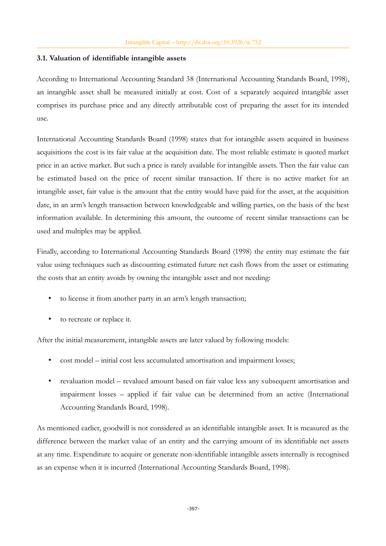# **3.1. Valuation of identifiable intangible assets**

According to International Accounting Standard 38 (International Accounting Standards Board, 1998), an intangible asset shall be measured initially at cost. Cost of a separately acquired intangible asset comprises its purchase price and any directly attributable cost of preparing the asset for its intended use.

International Accounting Standards Board (1998) states that for intangible assets acquired in business acquisitions the cost is its fair value at the acquisition date. The most reliable estimate is quoted market price in an active market. But such a price is rarely available for intangible assets. Then the fair value can be estimated based on the price of recent similar transaction. If there is no active market for an intangible asset, fair value is the amount that the entity would have paid for the asset, at the acquisition date, in an arm's length transaction between knowledgeable and willing parties, on the basis of the best information available. In determining this amount, the outcome of recent similar transactions can be used and multiples may be applied.

Finally, according to International Accounting Standards Board (1998) the entity may estimate the fair value using techniques such as discounting estimated future net cash flows from the asset or estimating the costs that an entity avoids by owning the intangible asset and not needing:

- to license it from another party in an arm's length transaction;
- to recreate or replace it.

After the initial measurement, intangible assets are later valued by following models:

- cost model initial cost less accumulated amortisation and impairment losses;
- revaluation model revalued amount based on fair value less any subsequent amortisation and impairment losses – applied if fair value can be determined from an active (International Accounting Standards Board, 1998).

As mentioned earlier, goodwill is not considered as an identifiable intangible asset. It is measured as the difference between the market value of an entity and the carrying amount of its identifiable net assets at any time. Expenditure to acquire or generate non-identifiable intangible assets internally is recognised as an expense when it is incurred (International Accounting Standards Board, 1998).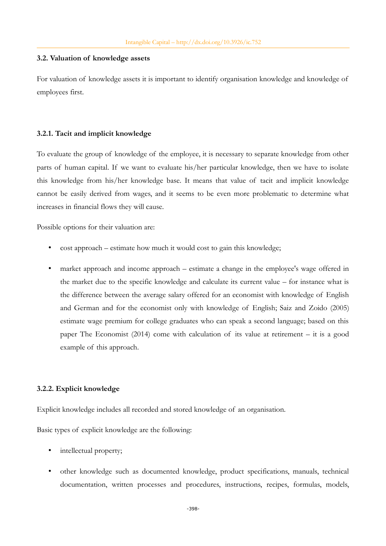#### **3.2. Valuation of knowledge assets**

For valuation of knowledge assets it is important to identify organisation knowledge and knowledge of employees first.

#### **3.2.1. Tacit and implicit knowledge**

To evaluate the group of knowledge of the employee, it is necessary to separate knowledge from other parts of human capital. If we want to evaluate his/her particular knowledge, then we have to isolate this knowledge from his/her knowledge base. It means that value of tacit and implicit knowledge cannot be easily derived from wages, and it seems to be even more problematic to determine what increases in financial flows they will cause.

Possible options for their valuation are:

- cost approach estimate how much it would cost to gain this knowledge;
- market approach and income approach estimate a change in the employee's wage offered in the market due to the specific knowledge and calculate its current value – for instance what is the difference between the average salary offered for an economist with knowledge of English and German and for the economist only with knowledge of English; Saiz and Zoido (2005) estimate wage premium for college graduates who can speak a second language; based on this paper The Economist (2014) come with calculation of its value at retirement – it is a good example of this approach.

#### **3.2.2. Explicit knowledge**

Explicit knowledge includes all recorded and stored knowledge of an organisation.

Basic types of explicit knowledge are the following:

- intellectual property;
- other knowledge such as documented knowledge, product specifications, manuals, technical documentation, written processes and procedures, instructions, recipes, formulas, models,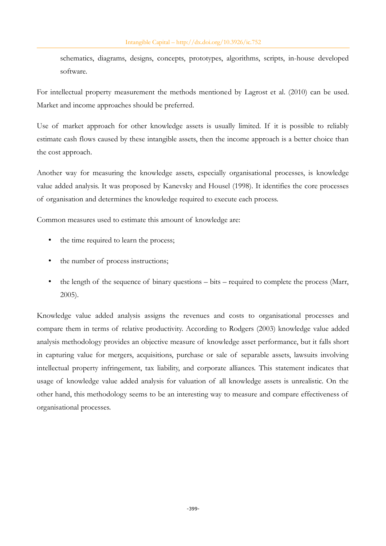schematics, diagrams, designs, concepts, prototypes, algorithms, scripts, in-house developed software.

For intellectual property measurement the methods mentioned by Lagrost et al. (2010) can be used. Market and income approaches should be preferred.

Use of market approach for other knowledge assets is usually limited. If it is possible to reliably estimate cash flows caused by these intangible assets, then the income approach is a better choice than the cost approach.

Another way for measuring the knowledge assets, especially organisational processes, is knowledge value added analysis. It was proposed by Kanevsky and Housel (1998). It identifies the core processes of organisation and determines the knowledge required to execute each process.

Common measures used to estimate this amount of knowledge are:

- the time required to learn the process;
- the number of process instructions;
- the length of the sequence of binary questions bits required to complete the process (Marr, 2005).

Knowledge value added analysis assigns the revenues and costs to organisational processes and compare them in terms of relative productivity. According to Rodgers (2003) knowledge value added analysis methodology provides an objective measure of knowledge asset performance, but it falls short in capturing value for mergers, acquisitions, purchase or sale of separable assets, lawsuits involving intellectual property infringement, tax liability, and corporate alliances. This statement indicates that usage of knowledge value added analysis for valuation of all knowledge assets is unrealistic. On the other hand, this methodology seems to be an interesting way to measure and compare effectiveness of organisational processes.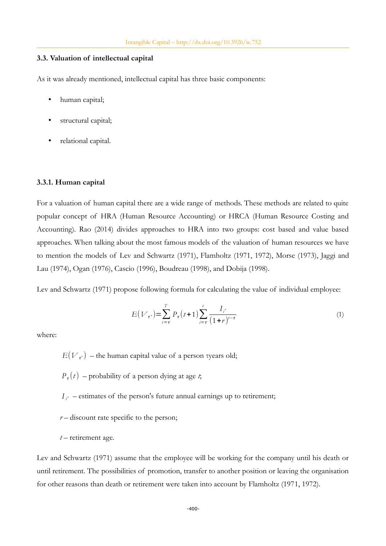#### **3.3. Valuation of intellectual capital**

As it was already mentioned, intellectual capital has three basic components:

- human capital;
- structural capital;
- relational capital.

#### **3.3.1. Human capital**

For a valuation of human capital there are a wide range of methods. These methods are related to quite popular concept of HRA (Human Resource Accounting) or HRCA (Human Resource Costing and Accounting). Rao (2014) divides approaches to HRA into two groups: cost based and value based approaches. When talking about the most famous models of the valuation of human resources we have to mention the models of Lev and Schwartz (1971), Flamholtz (1971, 1972), Morse (1973), Jaggi and Lau (1974), Ogan (1976), Cascio (1996), Boudreau (1998), and Dobija (1998).

Lev and Schwartz (1971) propose following formula for calculating the value of individual employee:

$$
E(V_{\tau^*}) = \sum_{t=\tau}^{T} P_{\tau}(t+1) \sum_{i=\tau}^{t} \frac{I_{i^*}}{(1+r)^{t-\tau}}
$$
(1)

where:

- $E(V_{\tau^*})$  the human capital value of a person tyears old;
- $P_{\tau}(t)$  probability of a person dying at age *t*;
- $I_{i^*}$  estimates of the person's future annual earnings up to retirement;
- $r$  discount rate specific to the person;
- *t* retirement age.

Lev and Schwartz (1971) assume that the employee will be working for the company until his death or until retirement. The possibilities of promotion, transfer to another position or leaving the organisation for other reasons than death or retirement were taken into account by Flamholtz (1971, 1972).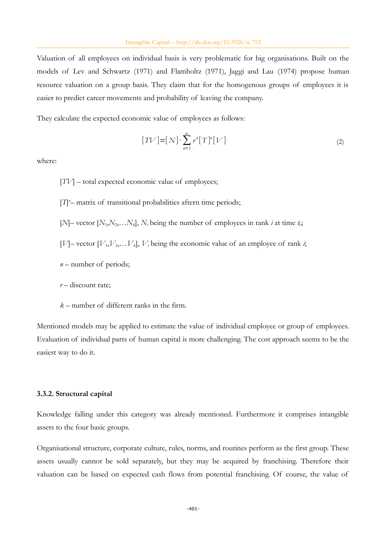Valuation of all employees on individual basis is very problematic for big organisations. Built on the models of Lev and Schwartz (1971) and Flamholtz (1971), Jaggi and Lau (1974) propose human resource valuation on a group basis. They claim that for the homogenous groups of employees it is easier to predict career movements and probability of leaving the company.

They calculate the expected economic value of employees as follows:

$$
[TV] = [N] \cdot \sum_{n=1}^{\infty} r^n [T]^n [V]
$$
\n<sup>(2)</sup>

where:

[*TV*] – total expected economic value of employees;

 $[T]$ <sup>*n*</sup> – matrix of transitional probabilities aftern time periods;

 $[N]$ – vector  $[N_1, N_2, \ldots N_k]$ ,  $N_i$  being the number of employees in rank *i* at time  $t_0$ ;

 $[V]$ – vector  $[V_1, V_2, \ldots V_k]$ ,  $V_i$  being the economic value of an employee of rank *i*;

*n* – number of periods;

*r* – discount rate;

*k* – number of different ranks in the firm.

Mentioned models may be applied to estimate the value of individual employee or group of employees. Evaluation of individual parts of human capital is more challenging. The cost approach seems to be the easiest way to do it.

#### **3.3.2. Structural capital**

Knowledge falling under this category was already mentioned. Furthermore it comprises intangible assets to the four basic groups.

Organisational structure, corporate culture, rules, norms, and routines perform as the first group. These assets usually cannot be sold separately, but they may be acquired by franchising. Therefore their valuation can be based on expected cash flows from potential franchising. Of course, the value of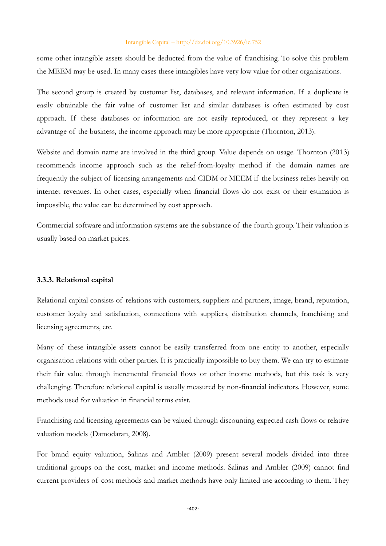some other intangible assets should be deducted from the value of franchising. To solve this problem the MEEM may be used. In many cases these intangibles have very low value for other organisations.

The second group is created by customer list, databases, and relevant information. If a duplicate is easily obtainable the fair value of customer list and similar databases is often estimated by cost approach. If these databases or information are not easily reproduced, or they represent a key advantage of the business, the income approach may be more appropriate (Thornton, 2013).

Website and domain name are involved in the third group. Value depends on usage. Thornton (2013) recommends income approach such as the relief-from-loyalty method if the domain names are frequently the subject of licensing arrangements and CIDM or MEEM if the business relies heavily on internet revenues. In other cases, especially when financial flows do not exist or their estimation is impossible, the value can be determined by cost approach.

Commercial software and information systems are the substance of the fourth group. Their valuation is usually based on market prices.

## **3.3.3. Relational capital**

Relational capital consists of relations with customers, suppliers and partners, image, brand, reputation, customer loyalty and satisfaction, connections with suppliers, distribution channels, franchising and licensing agreements, etc.

Many of these intangible assets cannot be easily transferred from one entity to another, especially organisation relations with other parties. It is practically impossible to buy them. We can try to estimate their fair value through incremental financial flows or other income methods, but this task is very challenging. Therefore relational capital is usually measured by non-financial indicators. However, some methods used for valuation in financial terms exist.

Franchising and licensing agreements can be valued through discounting expected cash flows or relative valuation models (Damodaran, 2008).

For brand equity valuation, Salinas and Ambler (2009) present several models divided into three traditional groups on the cost, market and income methods. Salinas and Ambler (2009) cannot find current providers of cost methods and market methods have only limited use according to them. They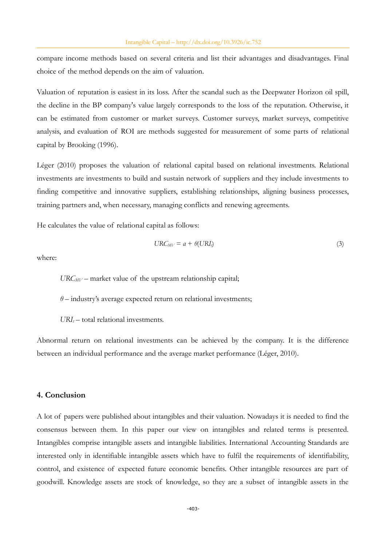compare income methods based on several criteria and list their advantages and disadvantages. Final choice of the method depends on the aim of valuation.

Valuation of reputation is easiest in its loss. After the scandal such as the Deepwater Horizon oil spill, the decline in the BP company's value largely corresponds to the loss of the reputation. Otherwise, it can be estimated from customer or market surveys. Customer surveys, market surveys, competitive analysis, and evaluation of ROI are methods suggested for measurement of some parts of relational capital by Brooking (1996).

Léger (2010) proposes the valuation of relational capital based on relational investments. Relational investments are investments to build and sustain network of suppliers and they include investments to finding competitive and innovative suppliers, establishing relationships, aligning business processes, training partners and, when necessary, managing conflicts and renewing agreements.

He calculates the value of relational capital as follows:

$$
URC_{MV} = a + \theta(URI_i)
$$
\n(3)

where:

 $URC_{MV}$  – market value of the upstream relationship capital;

*θ* – industry's average expected return on relational investments;

 $URL<sub>t</sub>$  – total relational investments.

Abnormal return on relational investments can be achieved by the company. It is the difference between an individual performance and the average market performance (Léger, 2010).

#### **4. Conclusion**

A lot of papers were published about intangibles and their valuation. Nowadays it is needed to find the consensus between them. In this paper our view on intangibles and related terms is presented. Intangibles comprise intangible assets and intangible liabilities. International Accounting Standards are interested only in identifiable intangible assets which have to fulfil the requirements of identifiability, control, and existence of expected future economic benefits. Other intangible resources are part of goodwill. Knowledge assets are stock of knowledge, so they are a subset of intangible assets in the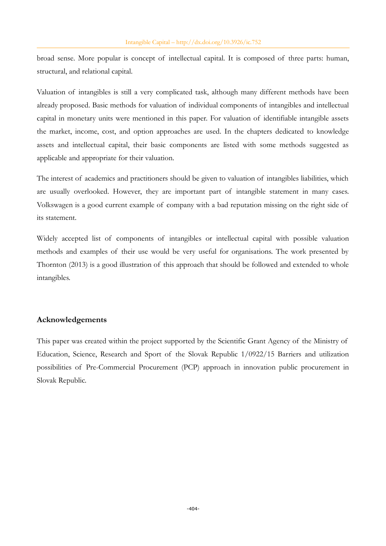broad sense. More popular is concept of intellectual capital. It is composed of three parts: human, structural, and relational capital.

Valuation of intangibles is still a very complicated task, although many different methods have been already proposed. Basic methods for valuation of individual components of intangibles and intellectual capital in monetary units were mentioned in this paper. For valuation of identifiable intangible assets the market, income, cost, and option approaches are used. In the chapters dedicated to knowledge assets and intellectual capital, their basic components are listed with some methods suggested as applicable and appropriate for their valuation.

The interest of academics and practitioners should be given to valuation of intangibles liabilities, which are usually overlooked. However, they are important part of intangible statement in many cases. Volkswagen is a good current example of company with a bad reputation missing on the right side of its statement.

Widely accepted list of components of intangibles or intellectual capital with possible valuation methods and examples of their use would be very useful for organisations. The work presented by Thornton (2013) is a good illustration of this approach that should be followed and extended to whole intangibles.

# **Acknowledgements**

This paper was created within the project supported by the Scientific Grant Agency of the Ministry of Education, Science, Research and Sport of the Slovak Republic 1/0922/15 Barriers and utilization possibilities of Pre-Commercial Procurement (PCP) approach in innovation public procurement in Slovak Republic.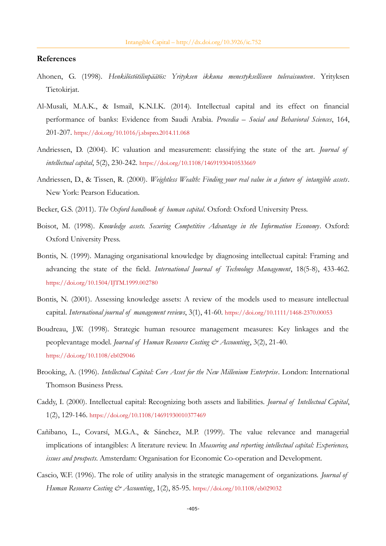#### **References**

- Ahonen, G. (1998). *Henkilöstötilinpäätös: Yrityksen ikkuna menestykselliseen tulevaisuuteen*. Yrityksen Tietokirjat.
- Al-Musali, M.A.K., & Ismail, K.N.I.K. (2014). Intellectual capital and its effect on financial performance of banks: Evidence from Saudi Arabia. *Procedia – Social and Behavioral Sciences*, 164, 201-207. <https://doi.org/10.1016/j.sbspro.2014.11.068>
- Andriessen, D. (2004). IC valuation and measurement: classifying the state of the art. *Journal of intellectual capital*, 5(2), 230-242. <https://doi.org/10.1108/14691930410533669>
- Andriessen, D., & Tissen, R. (2000). *Weightless Wealth: Finding your real value in a future of intangible assets*. New York: Pearson Education.
- Becker, G.S. (2011). *The Oxford handbook of human capital*. Oxford: Oxford University Press.
- Boisot, M. (1998). *Knowledge assets. Securing Competitive Advantage in the Information Economy*. Oxford: Oxford University Press.
- Bontis, N. (1999). Managing organisational knowledge by diagnosing intellectual capital: Framing and advancing the state of the field. *International Journal of Technology Management*, 18(5-8), 433-462. <https://doi.org/10.1504/IJTM.1999.002780>
- Bontis, N. (2001). Assessing knowledge assets: A review of the models used to measure intellectual capital. *International journal of management reviews*, 3(1), 41-60. <https://doi.org/10.1111/1468-2370.00053>
- Boudreau, J.W. (1998). Strategic human resource management measures: Key linkages and the peoplevantage model. *Journal of Human Resource Costing & Accounting*, 3(2), 21-40. <https://doi.org/10.1108/eb029046>
- Brooking, A. (1996). *Intellectual Capital: Core Asset for the New Millenium Enterprise*. London: International Thomson Business Press.
- Caddy, I. (2000). Intellectual capital: Recognizing both assets and liabilities. *Journal of Intellectual Capital*, 1(2), 129-146. <https://doi.org/10.1108/14691930010377469>
- Cañibano, L., Covarsí, M.G.A., & Sánchez, M.P. (1999). The value relevance and managerial implications of intangibles: A literature review. In *Measuring and reporting intellectual capital: Experiences, issues and prospects*. Amsterdam: Organisation for Economic Co-operation and Development.
- Cascio, W.F. (1996). The role of utility analysis in the strategic management of organizations. *Journal of Human Resource Costing & Accounting*, 1(2), 85-95. <https://doi.org/10.1108/eb029032>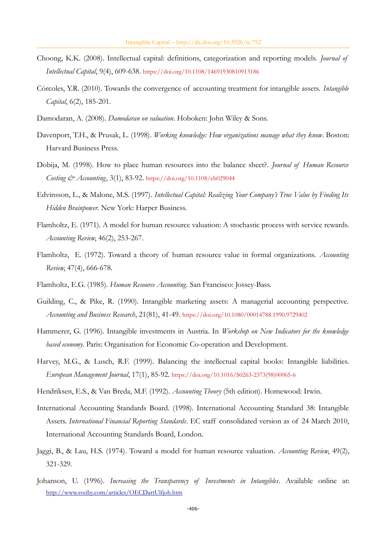- Choong, K.K. (2008). Intellectual capital: definitions, categorization and reporting models. *Journal of Intellectual Capital*, 9(4), 609-638. <https://doi.org/10.1108/14691930810913186>
- Córcoles, Y.R. (2010). Towards the convergence of accounting treatment for intangible assets. *Intangible Capital*, 6(2), 185-201.
- Damodaran, A. (2008). *Damodaran on valuation*. Hoboken: John Wiley & Sons.
- Davenport, T.H., & Prusak, L. (1998). *Working knowledge: How organizations manage what they know*. Boston: Harvard Business Press.
- Dobija, M. (1998). How to place human resources into the balance sheet?. *Journal of Human Resource Costing & Accounting*, 3(1), 83-92. <https://doi.org/10.1108/eb029044>
- Edvinsson, L., & Malone, M.S. (1997). *Intellectual Capital: Realizing Your Company's True Value by Finding Its Hidden Brainpower*. New York: Harper Business.
- Flamholtz, E. (1971). A model for human resource valuation: A stochastic process with service rewards. *Accounting Review*, 46(2), 253-267.
- Flamholtz, E. (1972). Toward a theory of human resource value in formal organizations. *Accounting Review*, 47(4), 666-678.
- Flamholtz, E.G. (1985). *Human Resource Accounting*. San Francisco: Jossey-Bass.
- Guilding, C., & Pike, R. (1990). Intangible marketing assets: A managerial accounting perspective. *Accounting and Business Research*, 21(81), 41-49. <https://doi.org/10.1080/00014788.1990.9729402>
- Hammerer, G. (1996). Intangible investments in Austria. In *Workshop on New Indicators for the knowledge based economy*. Paris: Organisation for Economic Co-operation and Development.
- Harvey, M.G., & Lusch, R.F. (1999). Balancing the intellectual capital books: Intangible liabilities. *European Management Journal*, 17(1), 85-92. [https://doi.org/10.1016/S0263-2373\(98\)00065-6](https://doi.org/10.1016/S0263-2373(98)00065-6)
- Hendriksen, E.S., & Van Breda, M.F. (1992). *Accounting Theory* (5th edition). Homewood: Irwin.
- International Accounting Standards Board. (1998). International Accounting Standard 38: Intangible Assets. *International Financial Reporting Standards*. EC staff consolidated version as of 24 March 2010, International Accounting Standards Board, London.
- Jaggi, B., & Lau, H.S. (1974). Toward a model for human resource valuation. *Accounting Review*, 49(2), 321-329.
- Johanson, U. (1996). *Increasing the Transparency of Investments in Intangibles*. Available online at: <http://www.sveiby.com/articles/OECDartUlfjoh.htm>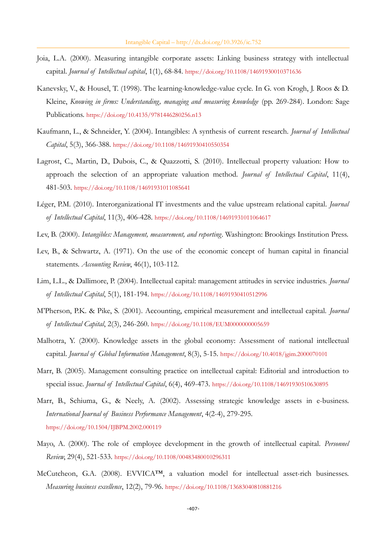- Joia, L.A. (2000). Measuring intangible corporate assets: Linking business strategy with intellectual capital. *Journal of Intellectual capital*, 1(1), 68-84. <https://doi.org/10.1108/14691930010371636>
- Kanevsky, V., & Housel, T. (1998). The learning-knowledge-value cycle. In G. von Krogh, J. Roos & D. Kleine, *Knowing in firms: Understanding, managing and measuring knowledge* (pp. 269-284). London: Sage Publications. <https://doi.org/10.4135/9781446280256.n13>
- Kaufmann, L., & Schneider, Y. (2004). Intangibles: A synthesis of current research. *Journal of Intellectual Capital*, 5(3), 366-388. <https://doi.org/10.1108/14691930410550354>
- Lagrost, C., Martin, D., Dubois, C., & Quazzotti, S. (2010). Intellectual property valuation: How to approach the selection of an appropriate valuation method. *Journal of Intellectual Capital*, 11(4), 481-503. <https://doi.org/10.1108/14691931011085641>
- Léger, P.M. (2010). Interorganizational IT investments and the value upstream relational capital. *Journal of Intellectual Capital*, 11(3), 406-428. <https://doi.org/10.1108/14691931011064617>
- Lev, B. (2000). *Intangibles: Management, measurement, and reporting*. Washington: Brookings Institution Press.
- Lev, B., & Schwartz, A. (1971). On the use of the economic concept of human capital in financial statements. *Accounting Review*, 46(1), 103-112.
- Lim, L.L., & Dallimore, P. (2004). Intellectual capital: management attitudes in service industries. *Journal of Intellectual Capital*, 5(1), 181-194. <https://doi.org/10.1108/14691930410512996>
- M'Pherson, P.K. & Pike, S. (2001). Accounting, empirical measurement and intellectual capital. *Journal of Intellectual Capital*, 2(3), 246-260. <https://doi.org/10.1108/EUM0000000005659>
- Malhotra, Y. (2000). Knowledge assets in the global economy: Assessment of national intellectual capital. *Journal of Global Information Management*, 8(3), 5-15. <https://doi.org/10.4018/jgim.2000070101>
- Marr, B. (2005). Management consulting practice on intellectual capital: Editorial and introduction to special issue. *Journal of Intellectual Capital*, 6(4), 469-473. <https://doi.org/10.1108/14691930510630895>
- Marr, B., Schiuma, G., & Neely, A. (2002). Assessing strategic knowledge assets in e-business. *International Journal of Business Performance Management*, 4(2-4), 279-295. <https://doi.org/10.1504/IJBPM.2002.000119>
- Mayo, A. (2000). The role of employee development in the growth of intellectual capital. *Personnel Review*, 29(4), 521-533. <https://doi.org/10.1108/00483480010296311>
- McCutcheon, G.A. (2008). EVVICA™, a valuation model for intellectual asset-rich businesses. *Measuring business excellence*, 12(2), 79-96. <https://doi.org/10.1108/13683040810881216>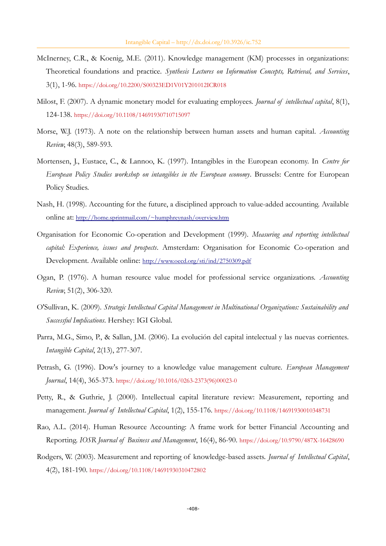- McInerney, C.R., & Koenig, M.E. (2011). Knowledge management (KM) processes in organizations: Theoretical foundations and practice. *Synthesis Lectures on Information Concepts, Retrieval, and Services*, 3(1), 1-96. <https://doi.org/10.2200/S00323ED1V01Y201012ICR018>
- Milost, F. (2007). A dynamic monetary model for evaluating employees. *Journal of intellectual capital*, 8(1), 124-138. <https://doi.org/10.1108/14691930710715097>
- Morse, W.J. (1973). A note on the relationship between human assets and human capital. *Accounting Review*, 48(3), 589-593.
- Mortensen, J., Eustace, C., & Lannoo, K. (1997). Intangibles in the European economy. In *Centre for European Policy Studies workshop on intangibles in the European economy*. Brussels: Centre for European Policy Studies.
- Nash, H. (1998). Accounting for the future, a disciplined approach to value-added accounting. Available online at: <http://home.sprintmail.com/~humphreynash/overview.htm>
- Organisation for Economic Co-operation and Development (1999). *Measuring and reporting intellectual capital: Experience, issues and prospects*. Amsterdam: Organisation for Economic Co-operation and Development. Available online: <http://www.oecd.org/sti/ind/2750309.pdf>
- Ogan, P. (1976). A human resource value model for professional service organizations. *Accounting Review*, 51(2), 306-320.
- O'Sullivan, K. (2009). *Strategic Intellectual Capital Management in Multinational Organizations: Sustainability and Successful Implications*. Hershey: IGI Global.
- Parra, M.G., Simo, P., & Sallan, J.M. (2006). La evolución del capital intelectual y las nuevas corrientes. *Intangible Capital*, 2(13), 277-307.
- Petrash, G. (1996). Dow's journey to a knowledge value management culture. *European Management Journal*, 14(4), 365-373. [https://doi.org/10.1016/0263-2373\(96\)00023-0](https://doi.org/10.1016/0263-2373(96)00023-0)
- Petty, R., & Guthrie, J. (2000). Intellectual capital literature review: Measurement, reporting and management. *Journal of Intellectual Capital*, 1(2), 155-176. <https://doi.org/10.1108/14691930010348731>
- Rao, A.L. (2014). Human Resource Accounting: A frame work for better Financial Accounting and Reporting. *IOSR Journal of Business and Management*, 16(4), 86-90. <https://doi.org/10.9790/487X-16428690>
- Rodgers, W. (2003). Measurement and reporting of knowledge-based assets. *Journal of Intellectual Capital*, 4(2), 181-190. <https://doi.org/10.1108/14691930310472802>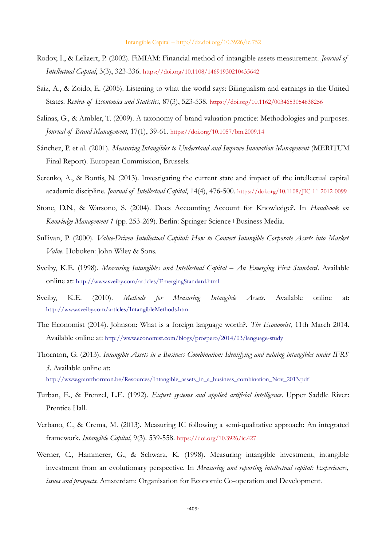- Rodov, I., & Leliaert, P. (2002). FiMIAM: Financial method of intangible assets measurement. *Journal of Intellectual Capital*, 3(3), 323-336. <https://doi.org/10.1108/14691930210435642>
- Saiz, A., & Zoido, E. (2005). Listening to what the world says: Bilingualism and earnings in the United States. *Review of Economics and Statistics*, 87(3), 523-538. <https://doi.org/10.1162/0034653054638256>
- Salinas, G., & Ambler, T. (2009). A taxonomy of brand valuation practice: Methodologies and purposes. *Journal of Brand Management*, 17(1), 39-61. <https://doi.org/10.1057/bm.2009.14>
- Sánchez, P. et al. (2001). *Measuring Intangibles to Understand and Improve Innovation Management* (MERITUM Final Report). European Commission, Brussels.
- Serenko, A., & Bontis, N. (2013). Investigating the current state and impact of the intellectual capital academic discipline. *Journal of Intellectual Capital*, 14(4), 476-500. <https://doi.org/10.1108/JIC-11-2012-0099>
- Stone, D.N., & Warsono, S. (2004). Does Accounting Account for Knowledge?. In *Handbook on Knowledge Management 1* (pp. 253-269). Berlin: Springer Science+Business Media.
- Sullivan, P. (2000). *Value-Driven Intellectual Capital: How to Convert Intangible Corporate Assets into Market Value*. Hoboken: John Wiley & Sons.
- Sveiby, K.E. (1998). *Measuring Intangibles and Intellectual Capital An Emerging First Standard*. Available online at: <http://www.sveiby.com/articles/EmergingStandard.html>
- Sveiby, K.E. (2010). *Methods for Measuring Intangible Assets*. Available online at: <http://www.sveiby.com/articles/IntangibleMethods.htm>
- The Economist (2014). Johnson: What is a foreign language worth?. *The Economist*, 11th March 2014. Available online at: <http://www.economist.com/blogs/prospero/2014/03/language-study>
- Thornton, G. (2013). *Intangible Assets in a Business Combination: Identifying and valuing intangibles under IFRS 3*. Available online at: http://www.grantthornton.be/Resources/Intangible assets in a business combination Nov 2013.pdf
- Turban, E., & Frenzel, L.E. (1992). *Expert systems and applied artificial intelligence*. Upper Saddle River: Prentice Hall.
- Verbano, C., & Crema, M. (2013). Measuring IC following a semi-qualitative approach: An integrated framework. *Intangible Capital*, 9(3). 539-558. <https://doi.org/10.3926/ic.427>
- Werner, C., Hammerer, G., & Schwarz, K. (1998). Measuring intangible investment, intangible investment from an evolutionary perspective. In *Measuring and reporting intellectual capital: Experiences, issues and prospects*. Amsterdam: Organisation for Economic Co-operation and Development.